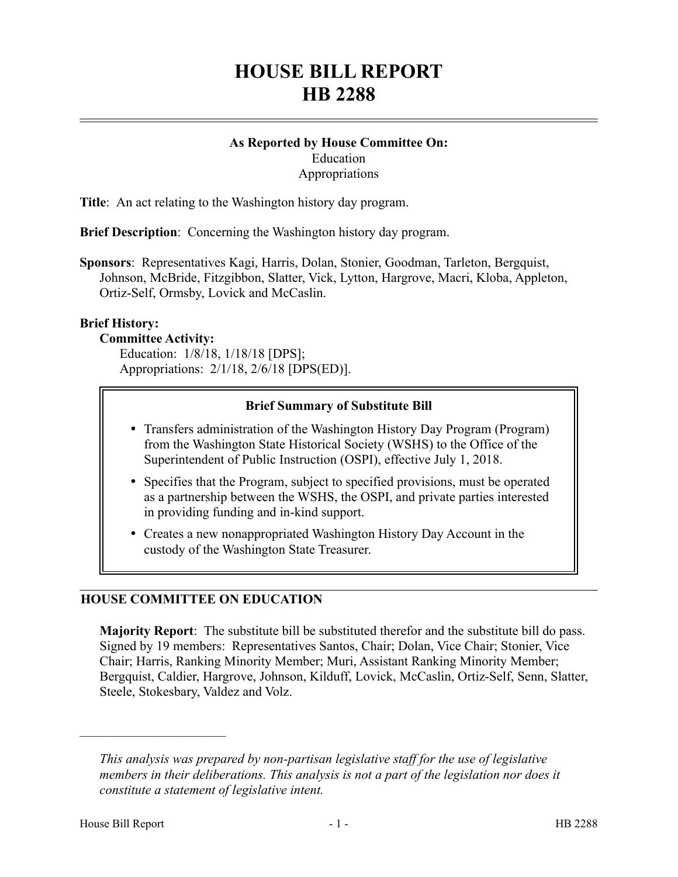# **HOUSE BILL REPORT HB 2288**

# **As Reported by House Committee On:** Education **Appropriations**

**Title**: An act relating to the Washington history day program.

**Brief Description**: Concerning the Washington history day program.

**Sponsors**: Representatives Kagi, Harris, Dolan, Stonier, Goodman, Tarleton, Bergquist, Johnson, McBride, Fitzgibbon, Slatter, Vick, Lytton, Hargrove, Macri, Kloba, Appleton, Ortiz-Self, Ormsby, Lovick and McCaslin.

#### **Brief History:**

#### **Committee Activity:**

Education: 1/8/18, 1/18/18 [DPS]; Appropriations: 2/1/18, 2/6/18 [DPS(ED)].

## **Brief Summary of Substitute Bill**

- Transfers administration of the Washington History Day Program (Program) from the Washington State Historical Society (WSHS) to the Office of the Superintendent of Public Instruction (OSPI), effective July 1, 2018.
- Specifies that the Program, subject to specified provisions, must be operated as a partnership between the WSHS, the OSPI, and private parties interested in providing funding and in-kind support.
- Creates a new nonappropriated Washington History Day Account in the custody of the Washington State Treasurer.

# **HOUSE COMMITTEE ON EDUCATION**

**Majority Report**: The substitute bill be substituted therefor and the substitute bill do pass. Signed by 19 members: Representatives Santos, Chair; Dolan, Vice Chair; Stonier, Vice Chair; Harris, Ranking Minority Member; Muri, Assistant Ranking Minority Member; Bergquist, Caldier, Hargrove, Johnson, Kilduff, Lovick, McCaslin, Ortiz-Self, Senn, Slatter, Steele, Stokesbary, Valdez and Volz.

––––––––––––––––––––––

*This analysis was prepared by non-partisan legislative staff for the use of legislative members in their deliberations. This analysis is not a part of the legislation nor does it constitute a statement of legislative intent.*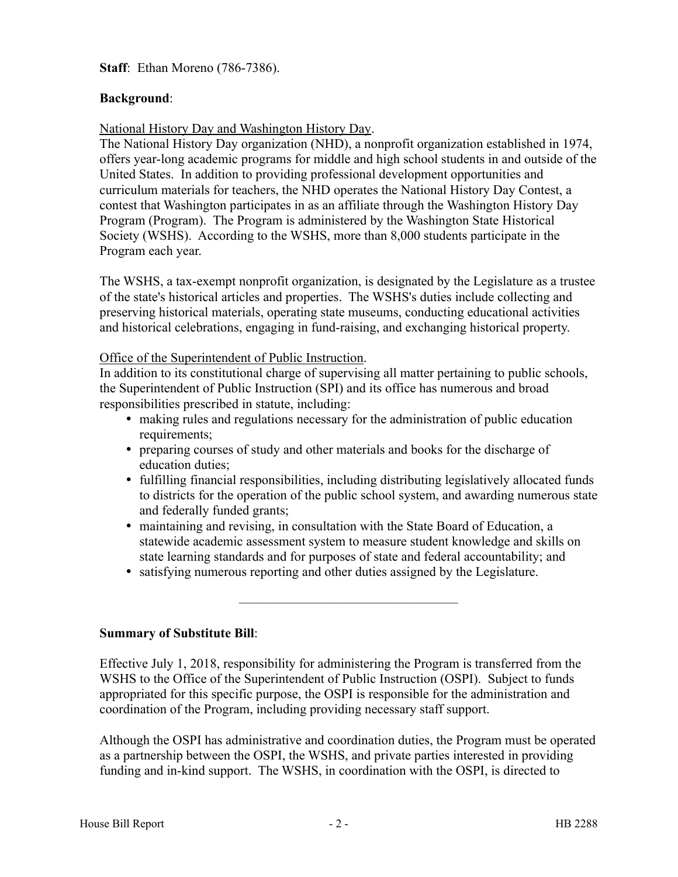**Staff**: Ethan Moreno (786-7386).

# **Background**:

## National History Day and Washington History Day.

The National History Day organization (NHD), a nonprofit organization established in 1974, offers year-long academic programs for middle and high school students in and outside of the United States. In addition to providing professional development opportunities and curriculum materials for teachers, the NHD operates the National History Day Contest, a contest that Washington participates in as an affiliate through the Washington History Day Program (Program). The Program is administered by the Washington State Historical Society (WSHS). According to the WSHS, more than 8,000 students participate in the Program each year.

The WSHS, a tax-exempt nonprofit organization, is designated by the Legislature as a trustee of the state's historical articles and properties. The WSHS's duties include collecting and preserving historical materials, operating state museums, conducting educational activities and historical celebrations, engaging in fund-raising, and exchanging historical property.

#### Office of the Superintendent of Public Instruction.

In addition to its constitutional charge of supervising all matter pertaining to public schools, the Superintendent of Public Instruction (SPI) and its office has numerous and broad responsibilities prescribed in statute, including:

- making rules and regulations necessary for the administration of public education requirements;
- preparing courses of study and other materials and books for the discharge of education duties;
- fulfilling financial responsibilities, including distributing legislatively allocated funds to districts for the operation of the public school system, and awarding numerous state and federally funded grants;
- maintaining and revising, in consultation with the State Board of Education, a statewide academic assessment system to measure student knowledge and skills on state learning standards and for purposes of state and federal accountability; and

–––––––––––––––––––––––––––––––––

satisfying numerous reporting and other duties assigned by the Legislature.

**Summary of Substitute Bill**:

Effective July 1, 2018, responsibility for administering the Program is transferred from the WSHS to the Office of the Superintendent of Public Instruction (OSPI). Subject to funds appropriated for this specific purpose, the OSPI is responsible for the administration and coordination of the Program, including providing necessary staff support.

Although the OSPI has administrative and coordination duties, the Program must be operated as a partnership between the OSPI, the WSHS, and private parties interested in providing funding and in-kind support. The WSHS, in coordination with the OSPI, is directed to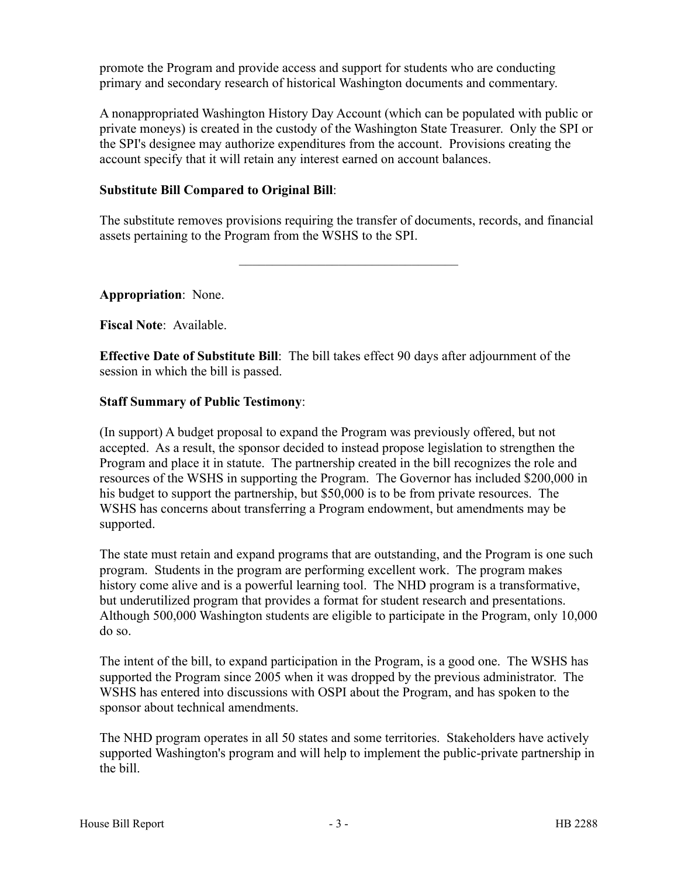promote the Program and provide access and support for students who are conducting primary and secondary research of historical Washington documents and commentary.

A nonappropriated Washington History Day Account (which can be populated with public or private moneys) is created in the custody of the Washington State Treasurer. Only the SPI or the SPI's designee may authorize expenditures from the account. Provisions creating the account specify that it will retain any interest earned on account balances.

# **Substitute Bill Compared to Original Bill**:

The substitute removes provisions requiring the transfer of documents, records, and financial assets pertaining to the Program from the WSHS to the SPI.

–––––––––––––––––––––––––––––––––

**Appropriation**: None.

**Fiscal Note**: Available.

**Effective Date of Substitute Bill**: The bill takes effect 90 days after adjournment of the session in which the bill is passed.

#### **Staff Summary of Public Testimony**:

(In support) A budget proposal to expand the Program was previously offered, but not accepted. As a result, the sponsor decided to instead propose legislation to strengthen the Program and place it in statute. The partnership created in the bill recognizes the role and resources of the WSHS in supporting the Program. The Governor has included \$200,000 in his budget to support the partnership, but \$50,000 is to be from private resources. The WSHS has concerns about transferring a Program endowment, but amendments may be supported.

The state must retain and expand programs that are outstanding, and the Program is one such program. Students in the program are performing excellent work. The program makes history come alive and is a powerful learning tool. The NHD program is a transformative, but underutilized program that provides a format for student research and presentations. Although 500,000 Washington students are eligible to participate in the Program, only 10,000 do so.

The intent of the bill, to expand participation in the Program, is a good one. The WSHS has supported the Program since 2005 when it was dropped by the previous administrator. The WSHS has entered into discussions with OSPI about the Program, and has spoken to the sponsor about technical amendments.

The NHD program operates in all 50 states and some territories. Stakeholders have actively supported Washington's program and will help to implement the public-private partnership in the bill.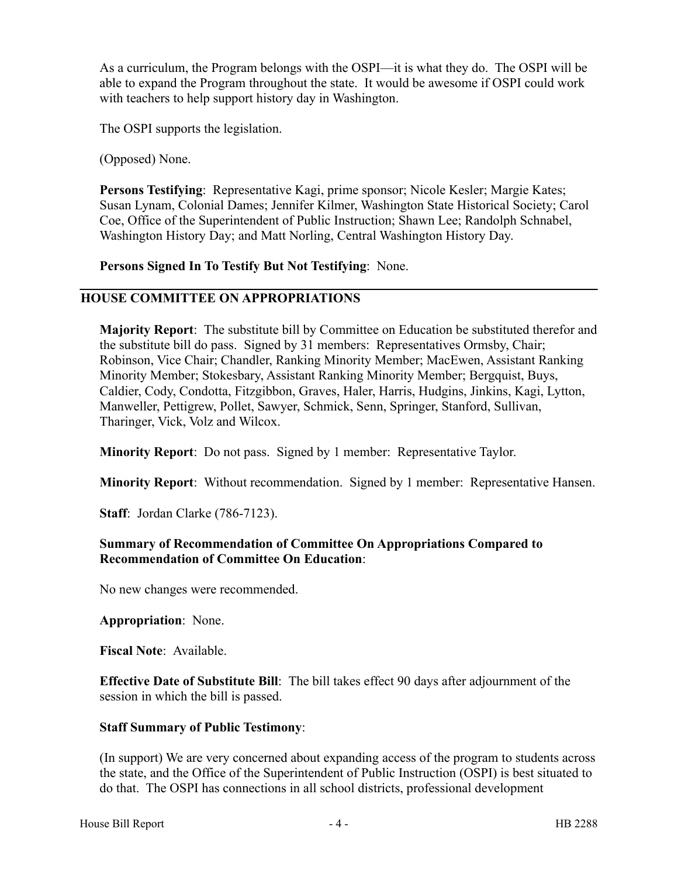As a curriculum, the Program belongs with the OSPI—it is what they do. The OSPI will be able to expand the Program throughout the state. It would be awesome if OSPI could work with teachers to help support history day in Washington.

The OSPI supports the legislation.

(Opposed) None.

**Persons Testifying**: Representative Kagi, prime sponsor; Nicole Kesler; Margie Kates; Susan Lynam, Colonial Dames; Jennifer Kilmer, Washington State Historical Society; Carol Coe, Office of the Superintendent of Public Instruction; Shawn Lee; Randolph Schnabel, Washington History Day; and Matt Norling, Central Washington History Day.

**Persons Signed In To Testify But Not Testifying**: None.

## **HOUSE COMMITTEE ON APPROPRIATIONS**

**Majority Report**: The substitute bill by Committee on Education be substituted therefor and the substitute bill do pass. Signed by 31 members: Representatives Ormsby, Chair; Robinson, Vice Chair; Chandler, Ranking Minority Member; MacEwen, Assistant Ranking Minority Member; Stokesbary, Assistant Ranking Minority Member; Bergquist, Buys, Caldier, Cody, Condotta, Fitzgibbon, Graves, Haler, Harris, Hudgins, Jinkins, Kagi, Lytton, Manweller, Pettigrew, Pollet, Sawyer, Schmick, Senn, Springer, Stanford, Sullivan, Tharinger, Vick, Volz and Wilcox.

**Minority Report**: Do not pass. Signed by 1 member: Representative Taylor.

**Minority Report**: Without recommendation. Signed by 1 member: Representative Hansen.

**Staff**: Jordan Clarke (786-7123).

## **Summary of Recommendation of Committee On Appropriations Compared to Recommendation of Committee On Education**:

No new changes were recommended.

**Appropriation**: None.

**Fiscal Note**: Available.

**Effective Date of Substitute Bill**: The bill takes effect 90 days after adjournment of the session in which the bill is passed.

# **Staff Summary of Public Testimony**:

(In support) We are very concerned about expanding access of the program to students across the state, and the Office of the Superintendent of Public Instruction (OSPI) is best situated to do that. The OSPI has connections in all school districts, professional development